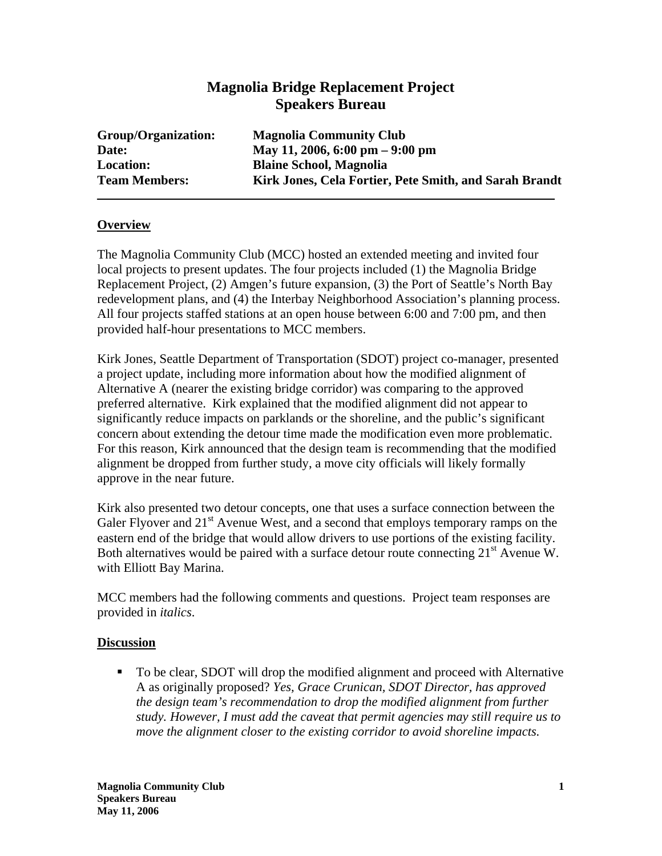## **Magnolia Bridge Replacement Project Speakers Bureau**

| Group/Organization:  | <b>Magnolia Community Club</b>                         |
|----------------------|--------------------------------------------------------|
| Date:                | May 11, 2006, 6:00 pm $-9:00$ pm                       |
| <b>Location:</b>     | <b>Blaine School, Magnolia</b>                         |
| <b>Team Members:</b> | Kirk Jones, Cela Fortier, Pete Smith, and Sarah Brandt |

## **Overview**

The Magnolia Community Club (MCC) hosted an extended meeting and invited four local projects to present updates. The four projects included (1) the Magnolia Bridge Replacement Project, (2) Amgen's future expansion, (3) the Port of Seattle's North Bay redevelopment plans, and (4) the Interbay Neighborhood Association's planning process. All four projects staffed stations at an open house between 6:00 and 7:00 pm, and then provided half-hour presentations to MCC members.

Kirk Jones, Seattle Department of Transportation (SDOT) project co-manager, presented a project update, including more information about how the modified alignment of Alternative A (nearer the existing bridge corridor) was comparing to the approved preferred alternative. Kirk explained that the modified alignment did not appear to significantly reduce impacts on parklands or the shoreline, and the public's significant concern about extending the detour time made the modification even more problematic. For this reason, Kirk announced that the design team is recommending that the modified alignment be dropped from further study, a move city officials will likely formally approve in the near future.

Kirk also presented two detour concepts, one that uses a surface connection between the Galer Flyover and  $21<sup>st</sup>$  Avenue West, and a second that employs temporary ramps on the eastern end of the bridge that would allow drivers to use portions of the existing facility. Both alternatives would be paired with a surface detour route connecting  $21<sup>st</sup>$  Avenue W. with Elliott Bay Marina.

MCC members had the following comments and questions. Project team responses are provided in *italics*.

## **Discussion**

■ To be clear, SDOT will drop the modified alignment and proceed with Alternative A as originally proposed? *Yes, Grace Crunican, SDOT Director, has approved the design team's recommendation to drop the modified alignment from further study. However, I must add the caveat that permit agencies may still require us to move the alignment closer to the existing corridor to avoid shoreline impacts.*